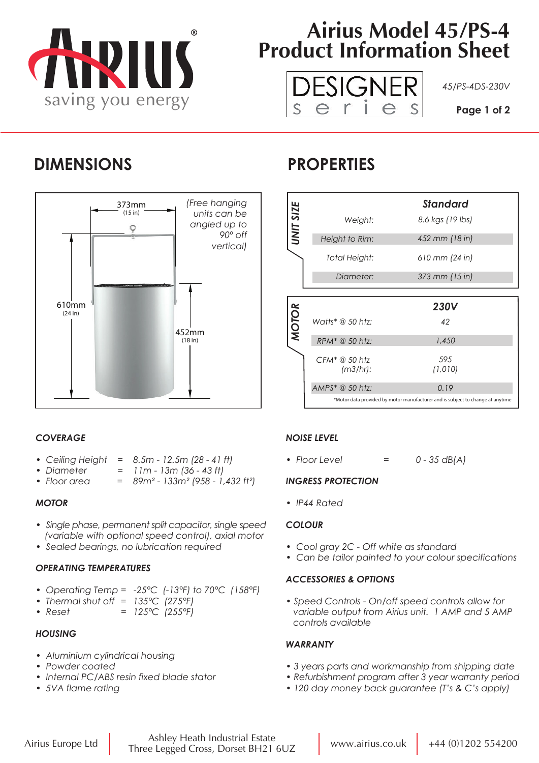

# **Airius Model 45/PS-4 Product Information Sheet**



### **DIMENSIONS PROPERTIES**



### *COVERAGE*

- *Ceiling Height = 8.5m 12.5m (28 41 ft)*
- *Diameter = 11m 13m (36 43 ft)*
- *Floor area = 89m² 133m² (958 1,432 ft²)*

#### *MOTOR*

- *Single phase, permanent split capacitor, single speed (variable with optional speed control), axial motor*
- *Sealed bearings, no lubrication required*

#### *OPERATING TEMPERATURES*

- *Operating Temp = -25°C (-13°F) to 70°C (158°F)*
- *Thermal shut off = 135°C (275°F)*
- *Reset = 125°C (255°F)*

#### *HOUSING*

- *Aluminium cylindrical housing*
- *Powder coated*
- *Internal PC/ABS resin fixed blade stator*
- *5VA flame rating*

|              |                              | Standard         |
|--------------|------------------------------|------------------|
| UNIT SIZE    | Weight:                      | 8.6 kgs (19 lbs) |
|              | Height to Rim:               | 452 mm (18 in)   |
|              | Total Height:                | 610 mm (24 in)   |
|              | Diameter:                    | 373 mm (15 in)   |
|              |                              |                  |
|              |                              |                  |
|              |                              | <b>230V</b>      |
|              | Watts* $@$ 50 htz:           | 42               |
| <b>MOTOR</b> | $RPM^* @ 50 htz$             | 1,450            |
|              | $CFM^* @ 50$ htz<br>(m3/hr): | 595<br>(1,010)   |
|              | AMPS* @ 50 htz:              | 0.19             |

### *NOISE LEVEL*

*• Floor Level = 0 - 35 dB(A)*

#### *INGRESS PROTECTION*

*• IP44 Rated*

#### *COLOUR*

- *Cool gray 2C Off white as standard*
- *Can be tailor painted to your colour specifications*

#### *ACCESSORIES & OPTIONS*

*• Speed Controls - On/off speed controls allow for variable output from Airius unit. 1 AMP and 5 AMP controls available*

#### *WARRANTY*

- *3 years parts and workmanship from shipping date*
- *Refurbishment program after 3 year warranty period*
- *120 day money back guarantee (T's & C's apply)*